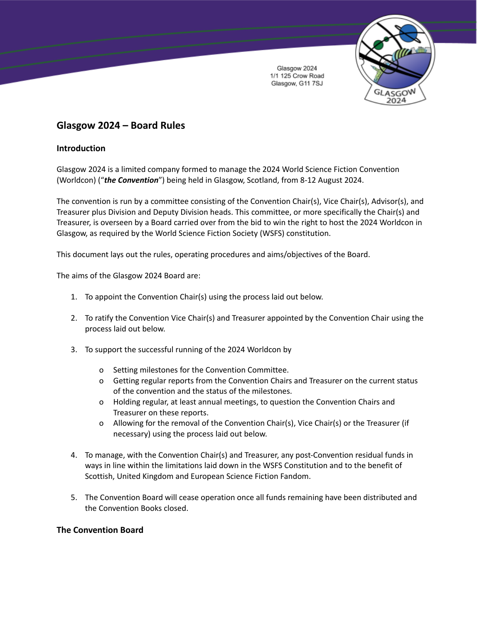

# **Glasgow 2024 – Board Rules**

# **Introduction**

Glasgow 2024 is a limited company formed to manage the 2024 World Science Fiction Convention (Worldcon) ("*the Convention*") being held in Glasgow, Scotland, from 8-12 August 2024.

The convention is run by a committee consisting of the Convention Chair(s), Vice Chair(s), Advisor(s), and Treasurer plus Division and Deputy Division heads. This committee, or more specifically the Chair(s) and Treasurer, is overseen by a Board carried over from the bid to win the right to host the 2024 Worldcon in Glasgow, as required by the World Science Fiction Society (WSFS) constitution.

This document lays out the rules, operating procedures and aims/objectives of the Board.

The aims of the Glasgow 2024 Board are:

- 1. To appoint the Convention Chair(s) using the process laid out below.
- 2. To ratify the Convention Vice Chair(s) and Treasurer appointed by the Convention Chair using the process laid out below.
- 3. To support the successful running of the 2024 Worldcon by
	- o Setting milestones for the Convention Committee.
	- o Getting regular reports from the Convention Chairs and Treasurer on the current status of the convention and the status of the milestones.
	- o Holding regular, at least annual meetings, to question the Convention Chairs and Treasurer on these reports.
	- o Allowing for the removal of the Convention Chair(s), Vice Chair(s) or the Treasurer (if necessary) using the process laid out below.
- 4. To manage, with the Convention Chair(s) and Treasurer, any post-Convention residual funds in ways in line within the limitations laid down in the WSFS Constitution and to the benefit of Scottish, United Kingdom and European Science Fiction Fandom.
- 5. The Convention Board will cease operation once all funds remaining have been distributed and the Convention Books closed.

## **The Convention Board**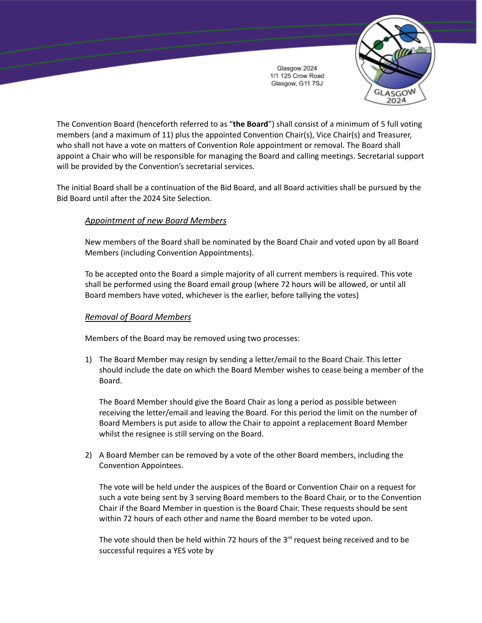

The Convention Board (henceforth referred to as "**the Board**") shall consist of a minimum of 5 full voting members (and a maximum of 11) plus the appointed Convention Chair(s), Vice Chair(s) and Treasurer, who shall not have a vote on matters of Convention Role appointment or removal. The Board shall appoint a Chair who will be responsible for managing the Board and calling meetings. Secretarial support will be provided by the Convention's secretarial services.

The initial Board shall be a continuation of the Bid Board, and all Board activities shall be pursued by the Bid Board until after the 2024 Site Selection.

## *Appointment of new Board Members*

New members of the Board shall be nominated by the Board Chair and voted upon by all Board Members (including Convention Appointments).

To be accepted onto the Board a simple majority of all current members is required. This vote shall be performed using the Board email group (where 72 hours will be allowed, or until all Board members have voted, whichever is the earlier, before tallying the votes)

## *Removal of Board Members*

Members of the Board may be removed using two processes:

1) The Board Member may resign by sending a letter/email to the Board Chair. This letter should include the date on which the Board Member wishes to cease being a member of the Board.

The Board Member should give the Board Chair as long a period as possible between receiving the letter/email and leaving the Board. For this period the limit on the number of Board Members is put aside to allow the Chair to appoint a replacement Board Member whilst the resignee is still serving on the Board.

2) A Board Member can be removed by a vote of the other Board members, including the Convention Appointees.

The vote will be held under the auspices of the Board or Convention Chair on a request for such a vote being sent by 3 serving Board members to the Board Chair, or to the Convention Chair if the Board Member in question is the Board Chair. These requests should be sent within 72 hours of each other and name the Board member to be voted upon.

The vote should then be held within 72 hours of the  $3<sup>rd</sup>$  request being received and to be successful requires a YES vote by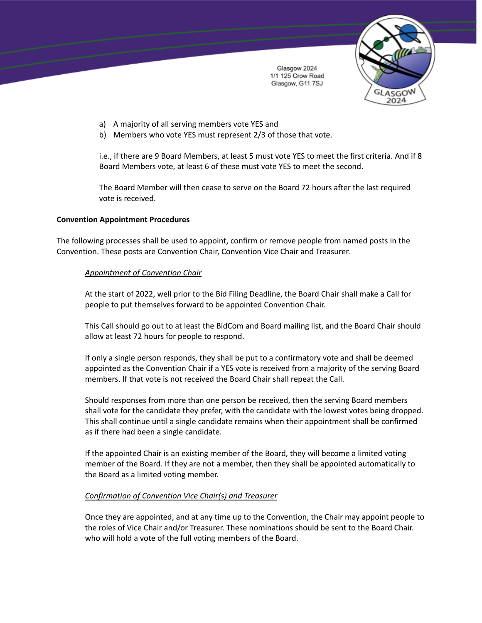

- a) A majority of all serving members vote YES and
- b) Members who vote YES must represent 2/3 of those that vote.

i.e., if there are 9 Board Members, at least 5 must vote YES to meet the first criteria. And if 8 Board Members vote, at least 6 of these must vote YES to meet the second.

The Board Member will then cease to serve on the Board 72 hours after the last required vote is received.

#### **Convention Appointment Procedures**

The following processes shall be used to appoint, confirm or remove people from named posts in the Convention. These posts are Convention Chair, Convention Vice Chair and Treasurer.

#### *Appointment of Convention Chair*

At the start of 2022, well prior to the Bid Filing Deadline, the Board Chair shall make a Call for people to put themselves forward to be appointed Convention Chair.

This Call should go out to at least the BidCom and Board mailing list, and the Board Chair should allow at least 72 hours for people to respond.

If only a single person responds, they shall be put to a confirmatory vote and shall be deemed appointed as the Convention Chair if a YES vote is received from a majority of the serving Board members. If that vote is not received the Board Chair shall repeat the Call.

Should responses from more than one person be received, then the serving Board members shall vote for the candidate they prefer, with the candidate with the lowest votes being dropped. This shall continue until a single candidate remains when their appointment shall be confirmed as if there had been a single candidate.

If the appointed Chair is an existing member of the Board, they will become a limited voting member of the Board. If they are not a member, then they shall be appointed automatically to the Board as a limited voting member.

### *Confirmation of Convention Vice Chair(s) and Treasurer*

Once they are appointed, and at any time up to the Convention, the Chair may appoint people to the roles of Vice Chair and/or Treasurer. These nominations should be sent to the Board Chair. who will hold a vote of the full voting members of the Board.